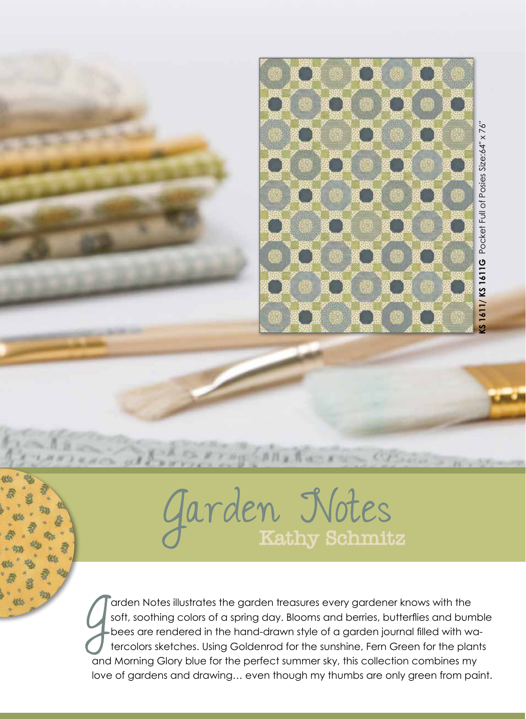



arden Notes illustrates the garden treasures every gardener knows with the soft, soothing colors of a spring day. Blooms and berries, butterflies and bumble bees are rendered in the hand-drawn style of a garden journal filled with watercolors sketches. Using Goldenrod for the sunshine, Fern Green for the plants and Morning Glory blue for the perfect summer sky, this collection combines my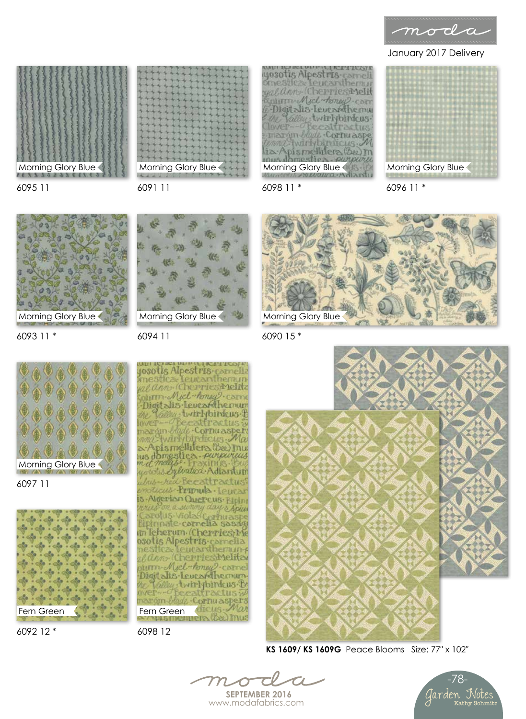

moda



















6093 11 \* 6094 11

Morning Glory Blue

6097 11



6092 12 \*



josotis Alpestris-cameli

al ann Cherries Melit olum-Micl-honey? carne Digitalis leveardhemun

leucanther

meaticae

6098 12

6090 15 \*



**KS 1609/ KS 1609G** Peace Blooms Size: 77″ x 102″

**SEPTEMBER 2016** www.modafabrics.com

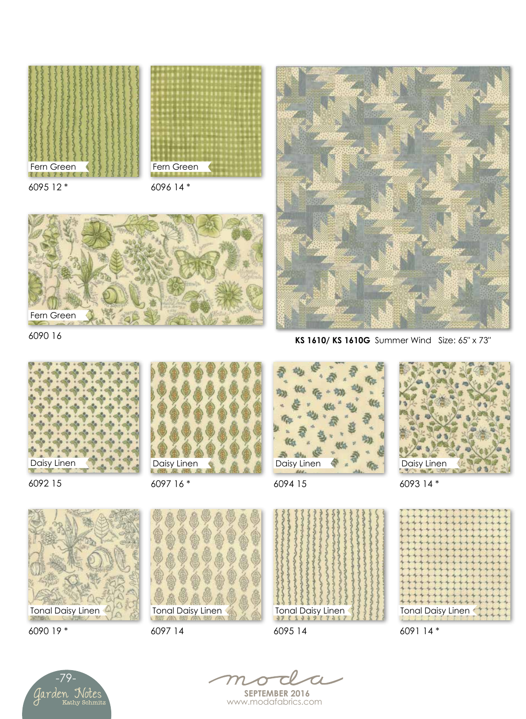

6095 12 \*

6096 14 \*



6090 16



6092 15



6097 16 \*



**KS 1610/ KS 1610G** Summer Wind Size: 65″ x 73″



6094 15



6093 14 \*



6090 19 \*





6097 14 6095 14

6091 14 \*

 $\mathbf{L}$ 



**SEPTEMBER 2016** www.modafabrics.com